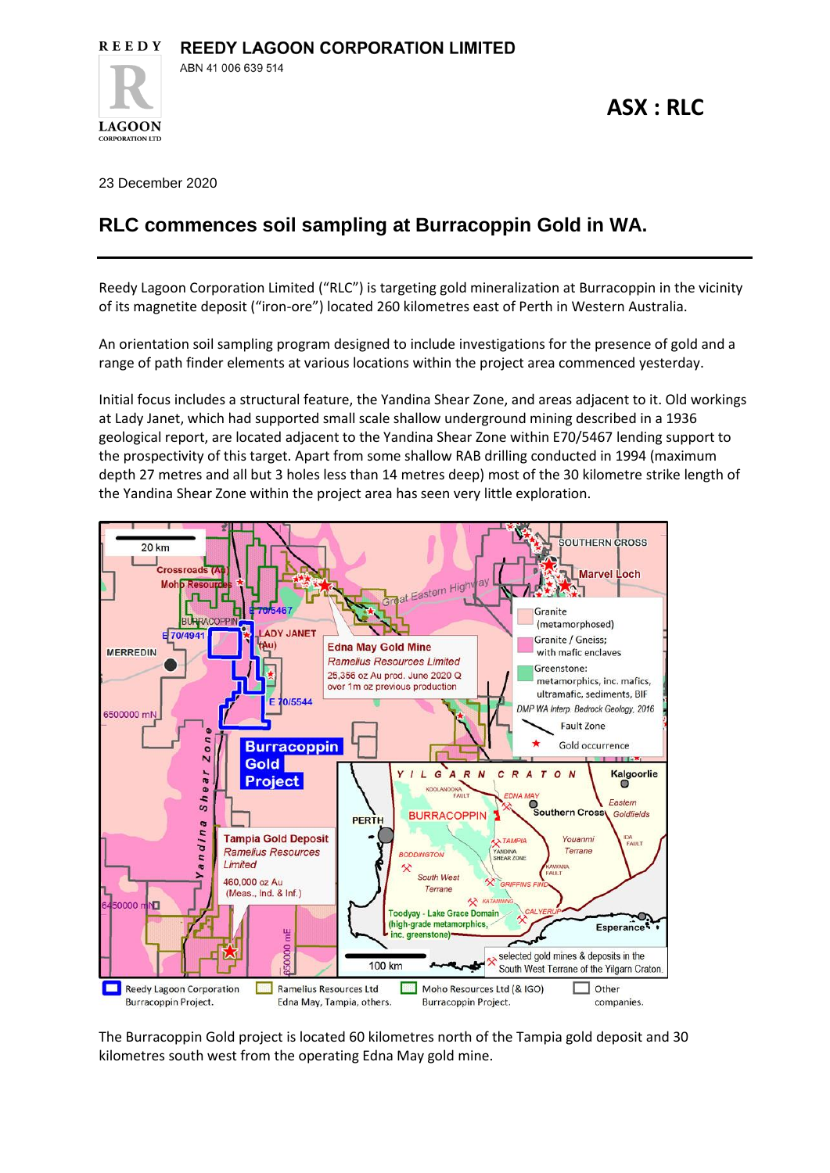

23 December 2020

**CORPORATION LTD** 

## **RLC commences soil sampling at Burracoppin Gold in WA.**

Reedy Lagoon Corporation Limited ("RLC") is targeting gold mineralization at Burracoppin in the vicinity of its magnetite deposit ("iron-ore") located 260 kilometres east of Perth in Western Australia.

An orientation soil sampling program designed to include investigations for the presence of gold and a range of path finder elements at various locations within the project area commenced yesterday.

Initial focus includes a structural feature, the Yandina Shear Zone, and areas adjacent to it. Old workings at Lady Janet, which had supported small scale shallow underground mining described in a 1936 geological report, are located adjacent to the Yandina Shear Zone within E70/5467 lending support to the prospectivity of this target. Apart from some shallow RAB drilling conducted in 1994 (maximum depth 27 metres and all but 3 holes less than 14 metres deep) most of the 30 kilometre strike length of the Yandina Shear Zone within the project area has seen very little exploration.



The Burracoppin Gold project is located 60 kilometres north of the Tampia gold deposit and 30 kilometres south west from the operating Edna May gold mine.